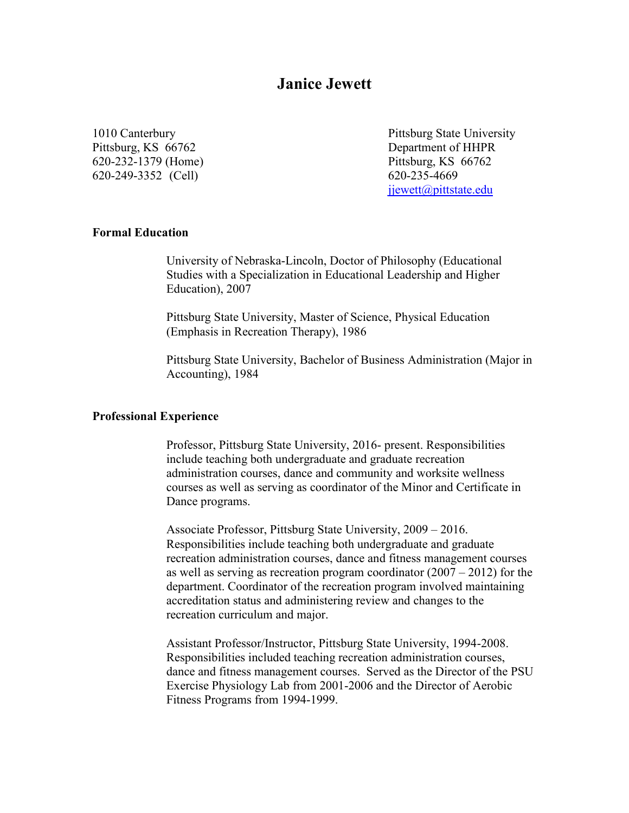# **Janice Jewett**

Pittsburg, KS 66762 Department of HHPR 620-232-1379 (Home) Pittsburg, KS 66762 620-249-3352 (Cell) 620-235-4669

1010 Canterbury **Pittsburg State University** [jjewett@pittstate.edu](mailto:jjewett@pittstate.edu)

### **Formal Education**

University of Nebraska-Lincoln, Doctor of Philosophy (Educational Studies with a Specialization in Educational Leadership and Higher Education), 2007

Pittsburg State University, Master of Science, Physical Education (Emphasis in Recreation Therapy), 1986

Pittsburg State University, Bachelor of Business Administration (Major in Accounting), 1984

#### **Professional Experience**

Professor, Pittsburg State University, 2016- present. Responsibilities include teaching both undergraduate and graduate recreation administration courses, dance and community and worksite wellness courses as well as serving as coordinator of the Minor and Certificate in Dance programs.

Associate Professor, Pittsburg State University, 2009 – 2016. Responsibilities include teaching both undergraduate and graduate recreation administration courses, dance and fitness management courses as well as serving as recreation program coordinator (2007 – 2012) for the department. Coordinator of the recreation program involved maintaining accreditation status and administering review and changes to the recreation curriculum and major.

Assistant Professor/Instructor, Pittsburg State University, 1994-2008. Responsibilities included teaching recreation administration courses, dance and fitness management courses. Served as the Director of the PSU Exercise Physiology Lab from 2001-2006 and the Director of Aerobic Fitness Programs from 1994-1999.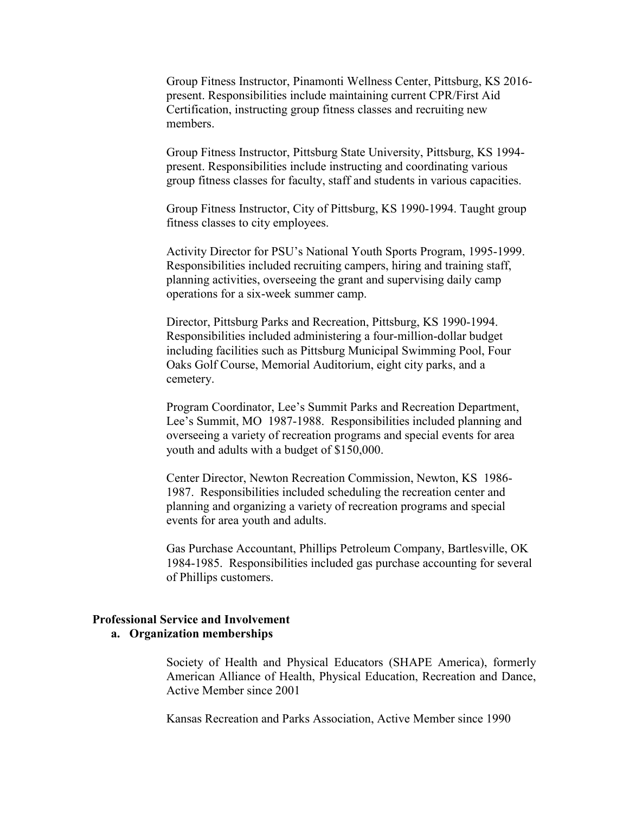Group Fitness Instructor, Pinamonti Wellness Center, Pittsburg, KS 2016 present. Responsibilities include maintaining current CPR/First Aid Certification, instructing group fitness classes and recruiting new members.

Group Fitness Instructor, Pittsburg State University, Pittsburg, KS 1994 present. Responsibilities include instructing and coordinating various group fitness classes for faculty, staff and students in various capacities.

Group Fitness Instructor, City of Pittsburg, KS 1990-1994. Taught group fitness classes to city employees.

Activity Director for PSU's National Youth Sports Program, 1995-1999. Responsibilities included recruiting campers, hiring and training staff, planning activities, overseeing the grant and supervising daily camp operations for a six-week summer camp.

Director, Pittsburg Parks and Recreation, Pittsburg, KS 1990-1994. Responsibilities included administering a four-million-dollar budget including facilities such as Pittsburg Municipal Swimming Pool, Four Oaks Golf Course, Memorial Auditorium, eight city parks, and a cemetery.

Program Coordinator, Lee's Summit Parks and Recreation Department, Lee's Summit, MO 1987-1988. Responsibilities included planning and overseeing a variety of recreation programs and special events for area youth and adults with a budget of \$150,000.

Center Director, Newton Recreation Commission, Newton, KS 1986- 1987. Responsibilities included scheduling the recreation center and planning and organizing a variety of recreation programs and special events for area youth and adults.

Gas Purchase Accountant, Phillips Petroleum Company, Bartlesville, OK 1984-1985. Responsibilities included gas purchase accounting for several of Phillips customers.

#### **Professional Service and Involvement a. Organization memberships**

Society of Health and Physical Educators (SHAPE America), formerly American Alliance of Health, Physical Education, Recreation and Dance, Active Member since 2001

Kansas Recreation and Parks Association, Active Member since 1990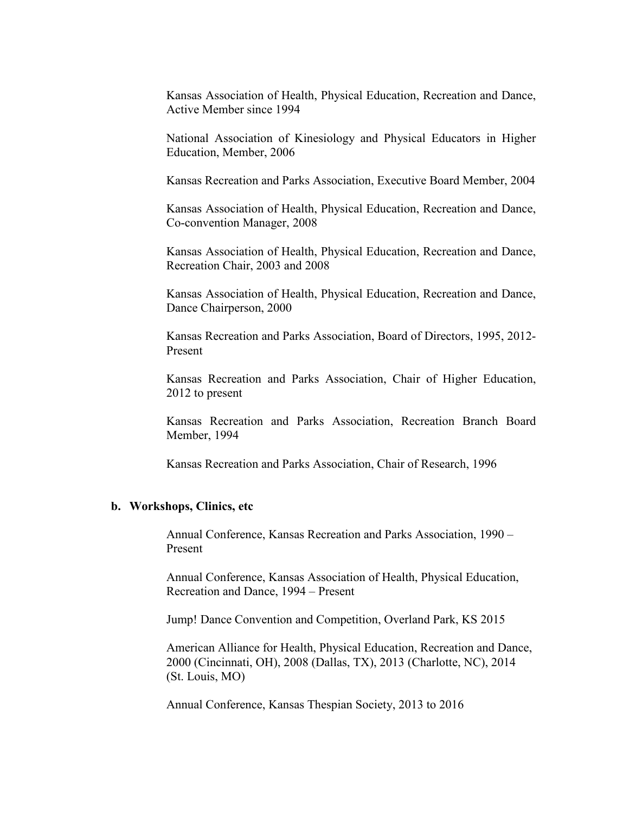Kansas Association of Health, Physical Education, Recreation and Dance, Active Member since 1994

National Association of Kinesiology and Physical Educators in Higher Education, Member, 2006

Kansas Recreation and Parks Association, Executive Board Member, 2004

Kansas Association of Health, Physical Education, Recreation and Dance, Co-convention Manager, 2008

Kansas Association of Health, Physical Education, Recreation and Dance, Recreation Chair, 2003 and 2008

Kansas Association of Health, Physical Education, Recreation and Dance, Dance Chairperson, 2000

Kansas Recreation and Parks Association, Board of Directors, 1995, 2012- Present

Kansas Recreation and Parks Association, Chair of Higher Education, 2012 to present

Kansas Recreation and Parks Association, Recreation Branch Board Member, 1994

Kansas Recreation and Parks Association, Chair of Research, 1996

#### **b. Workshops, Clinics, etc**

Annual Conference, Kansas Recreation and Parks Association, 1990 – Present

Annual Conference, Kansas Association of Health, Physical Education, Recreation and Dance, 1994 – Present

Jump! Dance Convention and Competition, Overland Park, KS 2015

American Alliance for Health, Physical Education, Recreation and Dance, 2000 (Cincinnati, OH), 2008 (Dallas, TX), 2013 (Charlotte, NC), 2014 (St. Louis, MO)

Annual Conference, Kansas Thespian Society, 2013 to 2016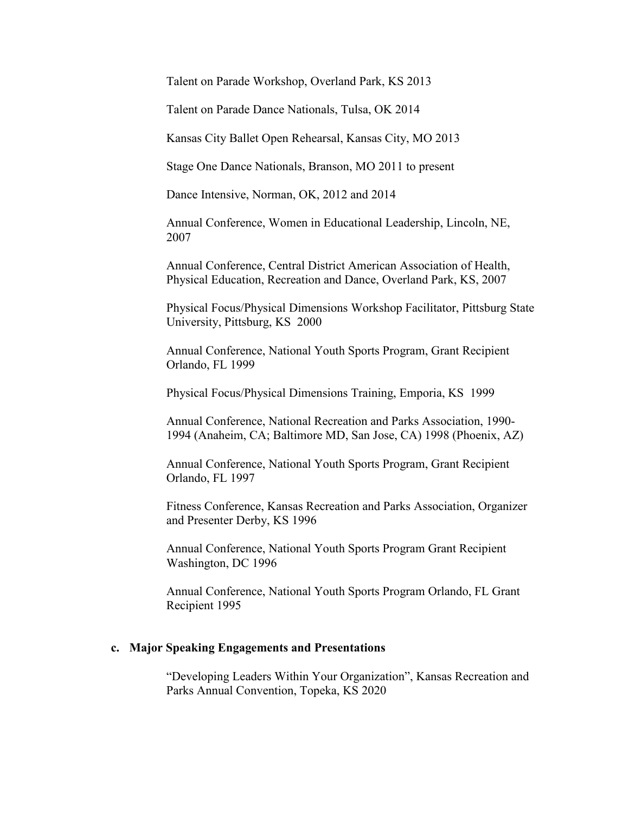Talent on Parade Workshop, Overland Park, KS 2013

Talent on Parade Dance Nationals, Tulsa, OK 2014

Kansas City Ballet Open Rehearsal, Kansas City, MO 2013

Stage One Dance Nationals, Branson, MO 2011 to present

Dance Intensive, Norman, OK, 2012 and 2014

Annual Conference, Women in Educational Leadership, Lincoln, NE, 2007

Annual Conference, Central District American Association of Health, Physical Education, Recreation and Dance, Overland Park, KS, 2007

Physical Focus/Physical Dimensions Workshop Facilitator, Pittsburg State University, Pittsburg, KS 2000

Annual Conference, National Youth Sports Program, Grant Recipient Orlando, FL 1999

Physical Focus/Physical Dimensions Training, Emporia, KS 1999

Annual Conference, National Recreation and Parks Association, 1990- 1994 (Anaheim, CA; Baltimore MD, San Jose, CA) 1998 (Phoenix, AZ)

Annual Conference, National Youth Sports Program, Grant Recipient Orlando, FL 1997

Fitness Conference, Kansas Recreation and Parks Association, Organizer and Presenter Derby, KS 1996

Annual Conference, National Youth Sports Program Grant Recipient Washington, DC 1996

Annual Conference, National Youth Sports Program Orlando, FL Grant Recipient 1995

#### **c. Major Speaking Engagements and Presentations**

"Developing Leaders Within Your Organization", Kansas Recreation and Parks Annual Convention, Topeka, KS 2020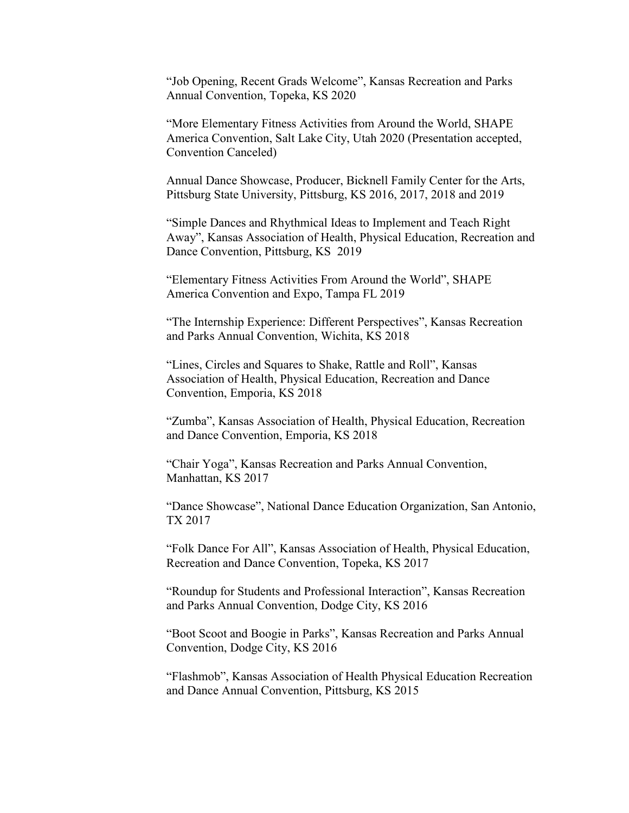"Job Opening, Recent Grads Welcome", Kansas Recreation and Parks Annual Convention, Topeka, KS 2020

"More Elementary Fitness Activities from Around the World, SHAPE America Convention, Salt Lake City, Utah 2020 (Presentation accepted, Convention Canceled)

Annual Dance Showcase, Producer, Bicknell Family Center for the Arts, Pittsburg State University, Pittsburg, KS 2016, 2017, 2018 and 2019

"Simple Dances and Rhythmical Ideas to Implement and Teach Right Away", Kansas Association of Health, Physical Education, Recreation and Dance Convention, Pittsburg, KS 2019

"Elementary Fitness Activities From Around the World", SHAPE America Convention and Expo, Tampa FL 2019

"The Internship Experience: Different Perspectives", Kansas Recreation and Parks Annual Convention, Wichita, KS 2018

"Lines, Circles and Squares to Shake, Rattle and Roll", Kansas Association of Health, Physical Education, Recreation and Dance Convention, Emporia, KS 2018

"Zumba", Kansas Association of Health, Physical Education, Recreation and Dance Convention, Emporia, KS 2018

"Chair Yoga", Kansas Recreation and Parks Annual Convention, Manhattan, KS 2017

"Dance Showcase", National Dance Education Organization, San Antonio, TX 2017

"Folk Dance For All", Kansas Association of Health, Physical Education, Recreation and Dance Convention, Topeka, KS 2017

"Roundup for Students and Professional Interaction", Kansas Recreation and Parks Annual Convention, Dodge City, KS 2016

"Boot Scoot and Boogie in Parks", Kansas Recreation and Parks Annual Convention, Dodge City, KS 2016

"Flashmob", Kansas Association of Health Physical Education Recreation and Dance Annual Convention, Pittsburg, KS 2015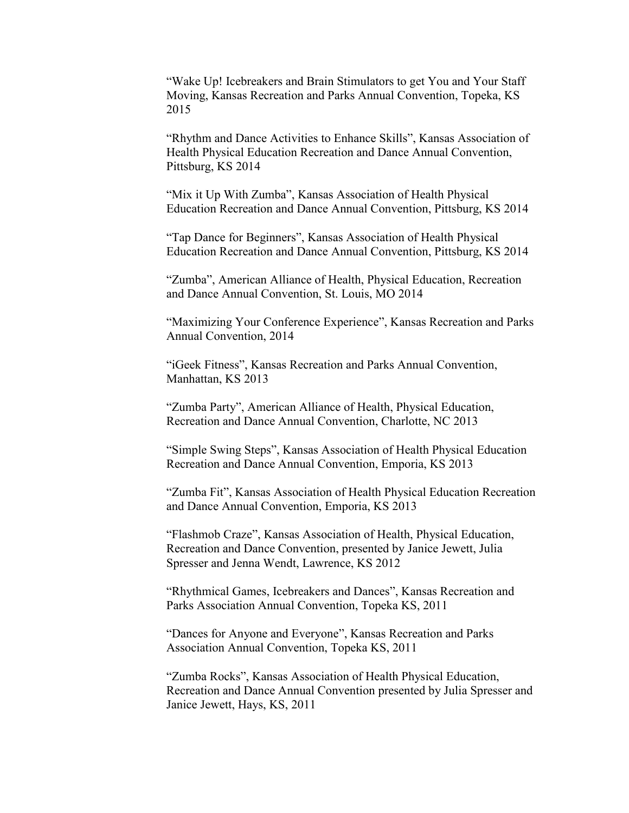"Wake Up! Icebreakers and Brain Stimulators to get You and Your Staff Moving, Kansas Recreation and Parks Annual Convention, Topeka, KS 2015

"Rhythm and Dance Activities to Enhance Skills", Kansas Association of Health Physical Education Recreation and Dance Annual Convention, Pittsburg, KS 2014

"Mix it Up With Zumba", Kansas Association of Health Physical Education Recreation and Dance Annual Convention, Pittsburg, KS 2014

"Tap Dance for Beginners", Kansas Association of Health Physical Education Recreation and Dance Annual Convention, Pittsburg, KS 2014

"Zumba", American Alliance of Health, Physical Education, Recreation and Dance Annual Convention, St. Louis, MO 2014

"Maximizing Your Conference Experience", Kansas Recreation and Parks Annual Convention, 2014

"iGeek Fitness", Kansas Recreation and Parks Annual Convention, Manhattan, KS 2013

"Zumba Party", American Alliance of Health, Physical Education, Recreation and Dance Annual Convention, Charlotte, NC 2013

"Simple Swing Steps", Kansas Association of Health Physical Education Recreation and Dance Annual Convention, Emporia, KS 2013

"Zumba Fit", Kansas Association of Health Physical Education Recreation and Dance Annual Convention, Emporia, KS 2013

"Flashmob Craze", Kansas Association of Health, Physical Education, Recreation and Dance Convention, presented by Janice Jewett, Julia Spresser and Jenna Wendt, Lawrence, KS 2012

"Rhythmical Games, Icebreakers and Dances", Kansas Recreation and Parks Association Annual Convention, Topeka KS, 2011

"Dances for Anyone and Everyone", Kansas Recreation and Parks Association Annual Convention, Topeka KS, 2011

"Zumba Rocks", Kansas Association of Health Physical Education, Recreation and Dance Annual Convention presented by Julia Spresser and Janice Jewett, Hays, KS, 2011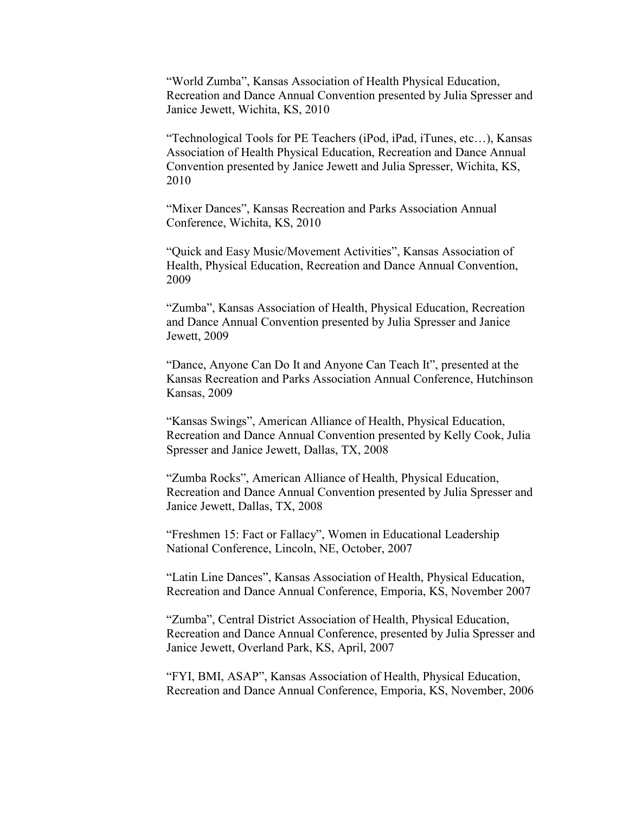"World Zumba", Kansas Association of Health Physical Education, Recreation and Dance Annual Convention presented by Julia Spresser and Janice Jewett, Wichita, KS, 2010

"Technological Tools for PE Teachers (iPod, iPad, iTunes, etc…), Kansas Association of Health Physical Education, Recreation and Dance Annual Convention presented by Janice Jewett and Julia Spresser, Wichita, KS, 2010

"Mixer Dances", Kansas Recreation and Parks Association Annual Conference, Wichita, KS, 2010

"Quick and Easy Music/Movement Activities", Kansas Association of Health, Physical Education, Recreation and Dance Annual Convention, 2009

"Zumba", Kansas Association of Health, Physical Education, Recreation and Dance Annual Convention presented by Julia Spresser and Janice Jewett, 2009

"Dance, Anyone Can Do It and Anyone Can Teach It", presented at the Kansas Recreation and Parks Association Annual Conference, Hutchinson Kansas, 2009

"Kansas Swings", American Alliance of Health, Physical Education, Recreation and Dance Annual Convention presented by Kelly Cook, Julia Spresser and Janice Jewett, Dallas, TX, 2008

"Zumba Rocks", American Alliance of Health, Physical Education, Recreation and Dance Annual Convention presented by Julia Spresser and Janice Jewett, Dallas, TX, 2008

"Freshmen 15: Fact or Fallacy", Women in Educational Leadership National Conference, Lincoln, NE, October, 2007

"Latin Line Dances", Kansas Association of Health, Physical Education, Recreation and Dance Annual Conference, Emporia, KS, November 2007

"Zumba", Central District Association of Health, Physical Education, Recreation and Dance Annual Conference, presented by Julia Spresser and Janice Jewett, Overland Park, KS, April, 2007

"FYI, BMI, ASAP", Kansas Association of Health, Physical Education, Recreation and Dance Annual Conference, Emporia, KS, November, 2006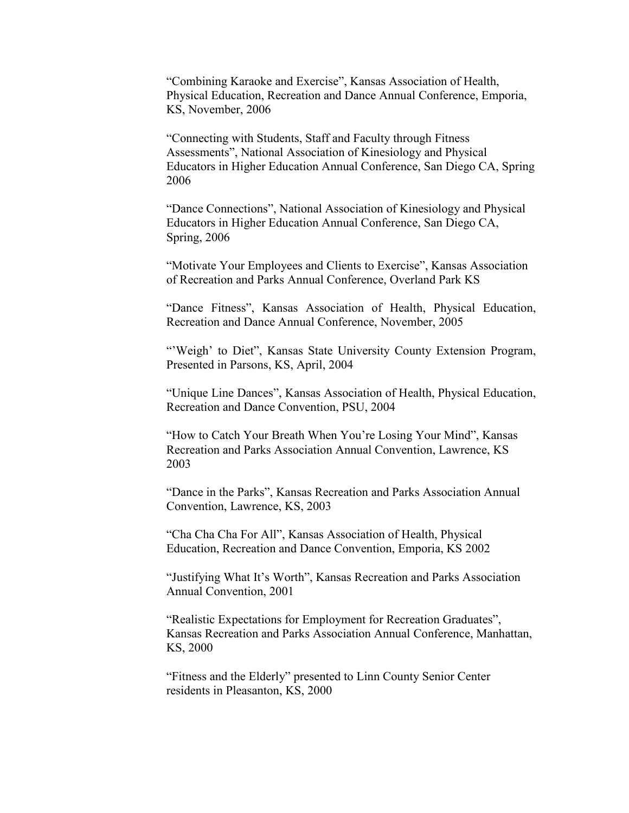"Combining Karaoke and Exercise", Kansas Association of Health, Physical Education, Recreation and Dance Annual Conference, Emporia, KS, November, 2006

"Connecting with Students, Staff and Faculty through Fitness Assessments", National Association of Kinesiology and Physical Educators in Higher Education Annual Conference, San Diego CA, Spring 2006

"Dance Connections", National Association of Kinesiology and Physical Educators in Higher Education Annual Conference, San Diego CA, Spring, 2006

"Motivate Your Employees and Clients to Exercise", Kansas Association of Recreation and Parks Annual Conference, Overland Park KS

"Dance Fitness", Kansas Association of Health, Physical Education, Recreation and Dance Annual Conference, November, 2005

"'Weigh' to Diet", Kansas State University County Extension Program, Presented in Parsons, KS, April, 2004

"Unique Line Dances", Kansas Association of Health, Physical Education, Recreation and Dance Convention, PSU, 2004

"How to Catch Your Breath When You're Losing Your Mind", Kansas Recreation and Parks Association Annual Convention, Lawrence, KS 2003

"Dance in the Parks", Kansas Recreation and Parks Association Annual Convention, Lawrence, KS, 2003

"Cha Cha Cha For All", Kansas Association of Health, Physical Education, Recreation and Dance Convention, Emporia, KS 2002

"Justifying What It's Worth", Kansas Recreation and Parks Association Annual Convention, 2001

"Realistic Expectations for Employment for Recreation Graduates", Kansas Recreation and Parks Association Annual Conference, Manhattan, KS, 2000

"Fitness and the Elderly" presented to Linn County Senior Center residents in Pleasanton, KS, 2000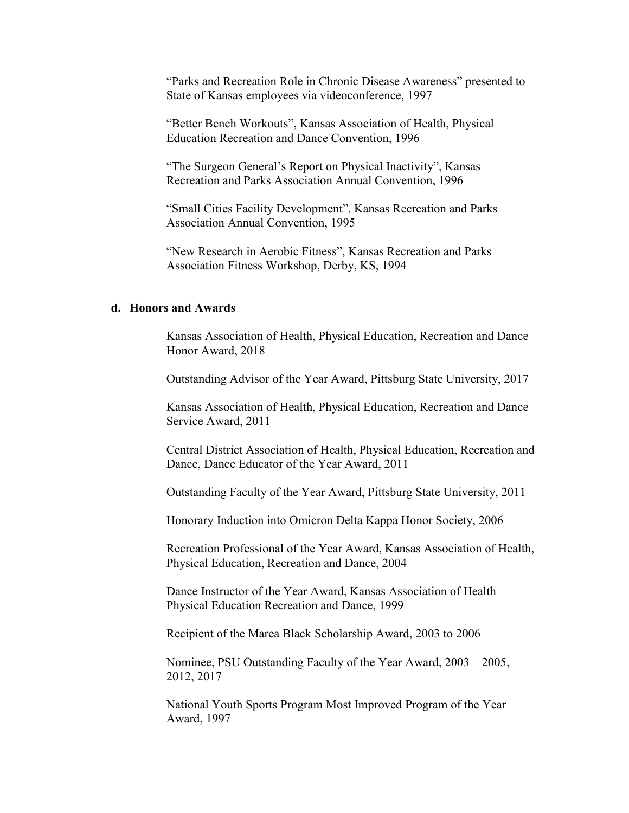"Parks and Recreation Role in Chronic Disease Awareness" presented to State of Kansas employees via videoconference, 1997

"Better Bench Workouts", Kansas Association of Health, Physical Education Recreation and Dance Convention, 1996

"The Surgeon General's Report on Physical Inactivity", Kansas Recreation and Parks Association Annual Convention, 1996

"Small Cities Facility Development", Kansas Recreation and Parks Association Annual Convention, 1995

"New Research in Aerobic Fitness", Kansas Recreation and Parks Association Fitness Workshop, Derby, KS, 1994

# **d. Honors and Awards**

Kansas Association of Health, Physical Education, Recreation and Dance Honor Award, 2018

Outstanding Advisor of the Year Award, Pittsburg State University, 2017

Kansas Association of Health, Physical Education, Recreation and Dance Service Award, 2011

Central District Association of Health, Physical Education, Recreation and Dance, Dance Educator of the Year Award, 2011

Outstanding Faculty of the Year Award, Pittsburg State University, 2011

Honorary Induction into Omicron Delta Kappa Honor Society, 2006

Recreation Professional of the Year Award, Kansas Association of Health, Physical Education, Recreation and Dance, 2004

Dance Instructor of the Year Award, Kansas Association of Health Physical Education Recreation and Dance, 1999

Recipient of the Marea Black Scholarship Award, 2003 to 2006

Nominee, PSU Outstanding Faculty of the Year Award, 2003 – 2005, 2012, 2017

National Youth Sports Program Most Improved Program of the Year Award, 1997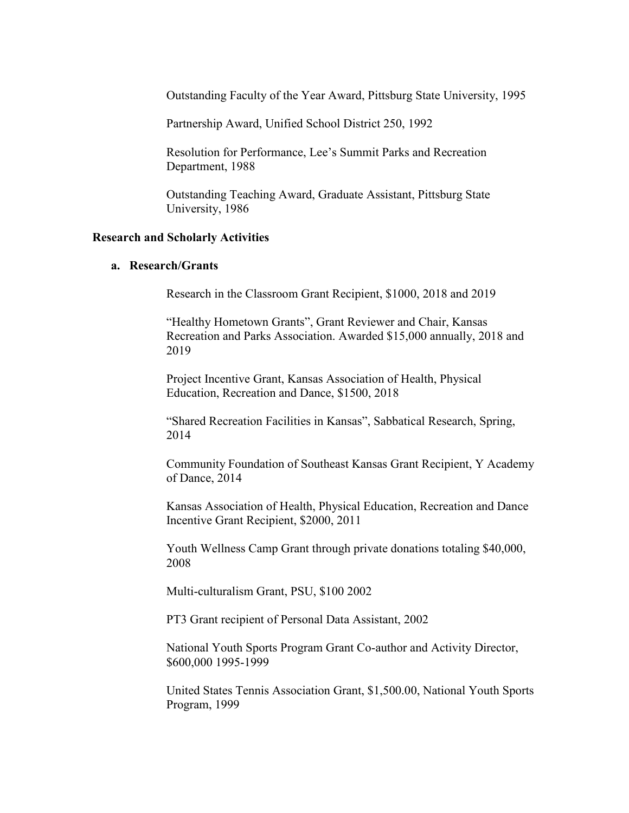Outstanding Faculty of the Year Award, Pittsburg State University, 1995

Partnership Award, Unified School District 250, 1992

Resolution for Performance, Lee's Summit Parks and Recreation Department, 1988

Outstanding Teaching Award, Graduate Assistant, Pittsburg State University, 1986

#### **Research and Scholarly Activities**

# **a. Research/Grants**

Research in the Classroom Grant Recipient, \$1000, 2018 and 2019

"Healthy Hometown Grants", Grant Reviewer and Chair, Kansas Recreation and Parks Association. Awarded \$15,000 annually, 2018 and 2019

Project Incentive Grant, Kansas Association of Health, Physical Education, Recreation and Dance, \$1500, 2018

"Shared Recreation Facilities in Kansas", Sabbatical Research, Spring, 2014

Community Foundation of Southeast Kansas Grant Recipient, Y Academy of Dance, 2014

Kansas Association of Health, Physical Education, Recreation and Dance Incentive Grant Recipient, \$2000, 2011

Youth Wellness Camp Grant through private donations totaling \$40,000, 2008

Multi-culturalism Grant, PSU, \$100 2002

PT3 Grant recipient of Personal Data Assistant, 2002

National Youth Sports Program Grant Co-author and Activity Director, \$600,000 1995-1999

United States Tennis Association Grant, \$1,500.00, National Youth Sports Program, 1999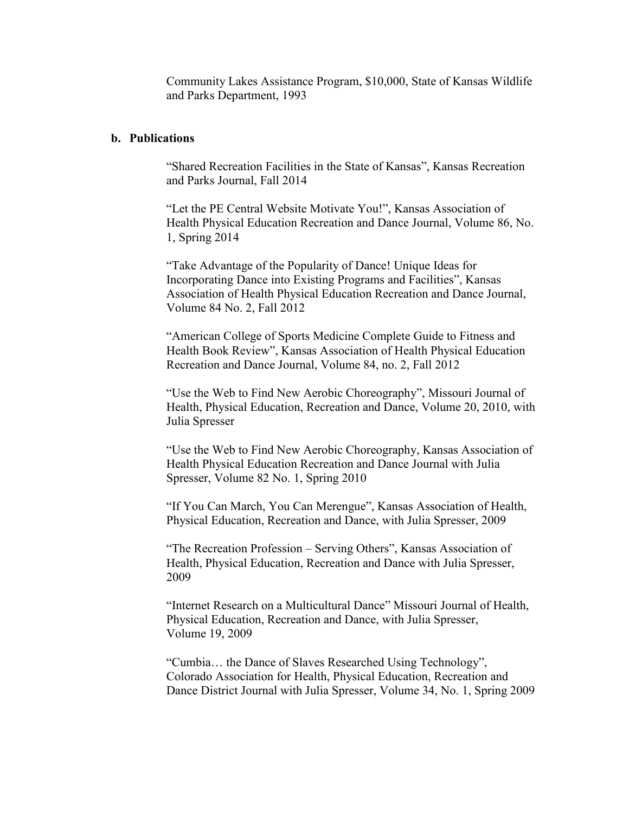Community Lakes Assistance Program, \$10,000, State of Kansas Wildlife and Parks Department, 1993

# **b. Publications**

"Shared Recreation Facilities in the State of Kansas", Kansas Recreation and Parks Journal, Fall 2014

"Let the PE Central Website Motivate You!", Kansas Association of Health Physical Education Recreation and Dance Journal, Volume 86, No. 1, Spring 2014

"Take Advantage of the Popularity of Dance! Unique Ideas for Incorporating Dance into Existing Programs and Facilities", Kansas Association of Health Physical Education Recreation and Dance Journal, Volume 84 No. 2, Fall 2012

"American College of Sports Medicine Complete Guide to Fitness and Health Book Review", Kansas Association of Health Physical Education Recreation and Dance Journal, Volume 84, no. 2, Fall 2012

"Use the Web to Find New Aerobic Choreography", Missouri Journal of Health, Physical Education, Recreation and Dance, Volume 20, 2010, with Julia Spresser

"Use the Web to Find New Aerobic Choreography, Kansas Association of Health Physical Education Recreation and Dance Journal with Julia Spresser, Volume 82 No. 1, Spring 2010

"If You Can March, You Can Merengue", Kansas Association of Health, Physical Education, Recreation and Dance, with Julia Spresser, 2009

"The Recreation Profession – Serving Others", Kansas Association of Health, Physical Education, Recreation and Dance with Julia Spresser, 2009

"Internet Research on a Multicultural Dance" Missouri Journal of Health, Physical Education, Recreation and Dance, with Julia Spresser, Volume 19, 2009

"Cumbia… the Dance of Slaves Researched Using Technology", Colorado Association for Health, Physical Education, Recreation and Dance District Journal with Julia Spresser, Volume 34, No. 1, Spring 2009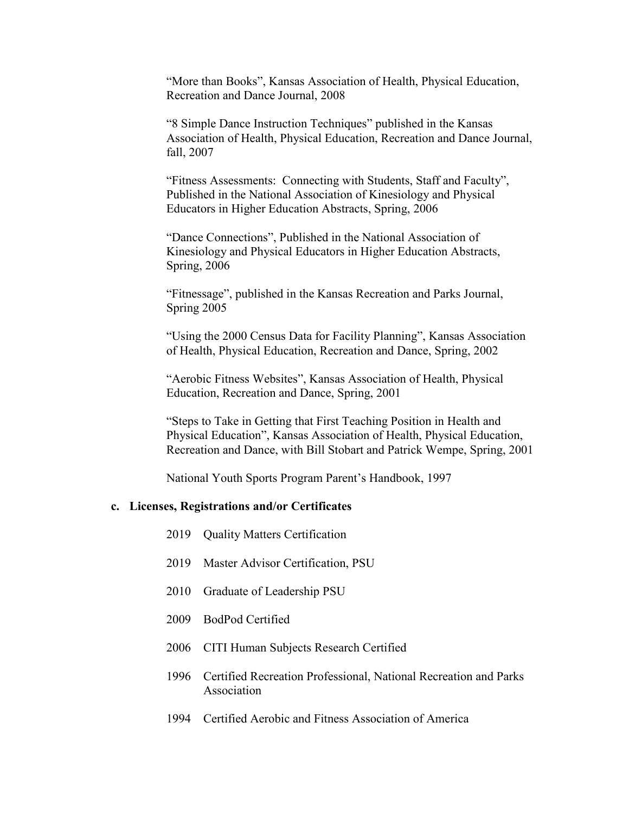"More than Books", Kansas Association of Health, Physical Education, Recreation and Dance Journal, 2008

"8 Simple Dance Instruction Techniques" published in the Kansas Association of Health, Physical Education, Recreation and Dance Journal, fall, 2007

"Fitness Assessments: Connecting with Students, Staff and Faculty", Published in the National Association of Kinesiology and Physical Educators in Higher Education Abstracts, Spring, 2006

"Dance Connections", Published in the National Association of Kinesiology and Physical Educators in Higher Education Abstracts, Spring, 2006

"Fitnessage", published in the Kansas Recreation and Parks Journal, Spring 2005

"Using the 2000 Census Data for Facility Planning", Kansas Association of Health, Physical Education, Recreation and Dance, Spring, 2002

"Aerobic Fitness Websites", Kansas Association of Health, Physical Education, Recreation and Dance, Spring, 2001

"Steps to Take in Getting that First Teaching Position in Health and Physical Education", Kansas Association of Health, Physical Education, Recreation and Dance, with Bill Stobart and Patrick Wempe, Spring, 2001

National Youth Sports Program Parent's Handbook, 1997

#### **c. Licenses, Registrations and/or Certificates**

| 2019 Quality Matters Certification |  |
|------------------------------------|--|
|------------------------------------|--|

- 2019 Master Advisor Certification, PSU
- 2010 Graduate of Leadership PSU
- 2009 BodPod Certified
- 2006 CITI Human Subjects Research Certified
- 1996 Certified Recreation Professional, National Recreation and Parks Association
- 1994 Certified Aerobic and Fitness Association of America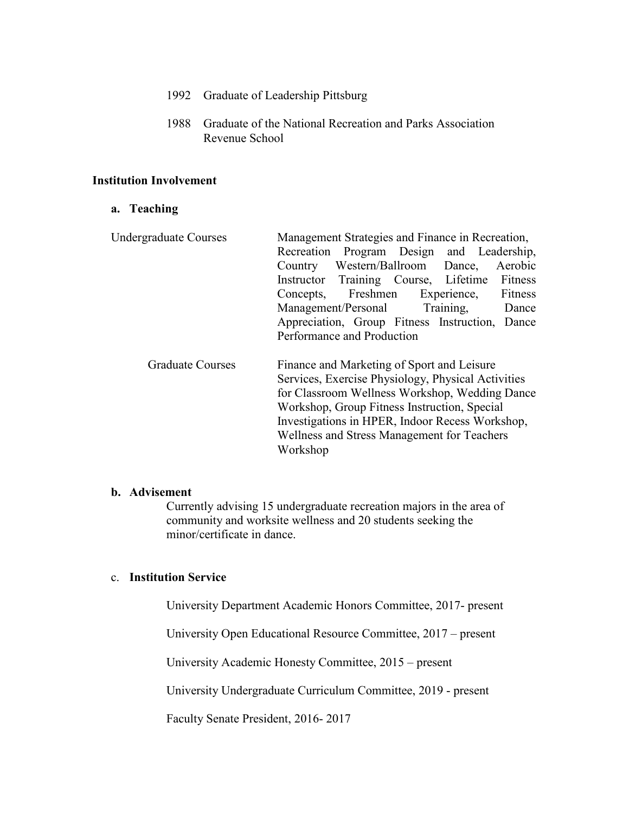- 1992 Graduate of Leadership Pittsburg
- 1988 Graduate of the National Recreation and Parks Association Revenue School

# **Institution Involvement**

## **a. Teaching**

| Management Strategies and Finance in Recreation,                                                                                                                                                                                                                                                                 |
|------------------------------------------------------------------------------------------------------------------------------------------------------------------------------------------------------------------------------------------------------------------------------------------------------------------|
| Recreation Program Design and Leadership,                                                                                                                                                                                                                                                                        |
| Western/Ballroom Dance,<br>Aerobic<br>Country                                                                                                                                                                                                                                                                    |
| Instructor Training Course, Lifetime Fitness                                                                                                                                                                                                                                                                     |
| Concepts, Freshmen Experience,<br>Fitness                                                                                                                                                                                                                                                                        |
| Management/Personal Training,<br>Dance                                                                                                                                                                                                                                                                           |
| Appreciation, Group Fitness Instruction, Dance                                                                                                                                                                                                                                                                   |
| Performance and Production                                                                                                                                                                                                                                                                                       |
| Finance and Marketing of Sport and Leisure<br>Services, Exercise Physiology, Physical Activities<br>for Classroom Wellness Workshop, Wedding Dance<br>Workshop, Group Fitness Instruction, Special<br>Investigations in HPER, Indoor Recess Workshop,<br>Wellness and Stress Management for Teachers<br>Workshop |
|                                                                                                                                                                                                                                                                                                                  |

#### **b. Advisement**

Currently advising 15 undergraduate recreation majors in the area of community and worksite wellness and 20 students seeking the minor/certificate in dance.

# c. **Institution Service**

University Department Academic Honors Committee, 2017- present

University Open Educational Resource Committee, 2017 – present

University Academic Honesty Committee, 2015 – present

University Undergraduate Curriculum Committee, 2019 - present

Faculty Senate President, 2016- 2017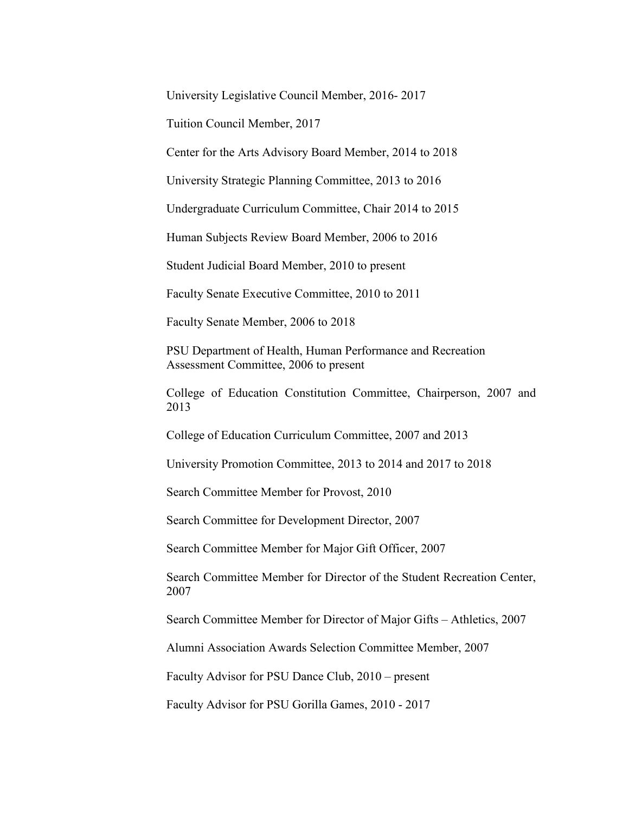University Legislative Council Member, 2016- 2017

Tuition Council Member, 2017

Center for the Arts Advisory Board Member, 2014 to 2018

University Strategic Planning Committee, 2013 to 2016

Undergraduate Curriculum Committee, Chair 2014 to 2015

Human Subjects Review Board Member, 2006 to 2016

Student Judicial Board Member, 2010 to present

Faculty Senate Executive Committee, 2010 to 2011

Faculty Senate Member, 2006 to 2018

PSU Department of Health, Human Performance and Recreation Assessment Committee, 2006 to present

College of Education Constitution Committee, Chairperson, 2007 and 2013

College of Education Curriculum Committee, 2007 and 2013

University Promotion Committee, 2013 to 2014 and 2017 to 2018

Search Committee Member for Provost, 2010

Search Committee for Development Director, 2007

Search Committee Member for Major Gift Officer, 2007

Search Committee Member for Director of the Student Recreation Center, 2007

Search Committee Member for Director of Major Gifts – Athletics, 2007

Alumni Association Awards Selection Committee Member, 2007

Faculty Advisor for PSU Dance Club, 2010 – present

Faculty Advisor for PSU Gorilla Games, 2010 - 2017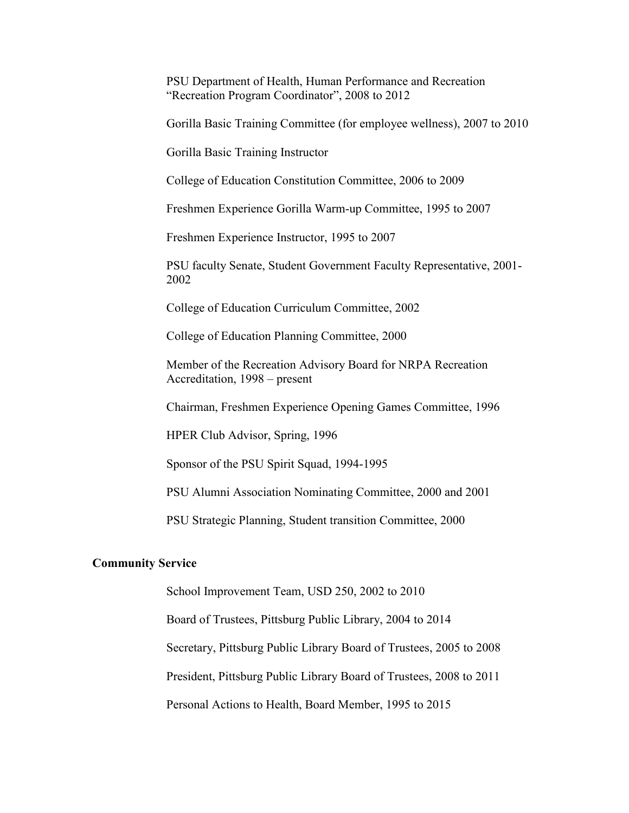PSU Department of Health, Human Performance and Recreation "Recreation Program Coordinator", 2008 to 2012

Gorilla Basic Training Committee (for employee wellness), 2007 to 2010

Gorilla Basic Training Instructor

College of Education Constitution Committee, 2006 to 2009

Freshmen Experience Gorilla Warm-up Committee, 1995 to 2007

Freshmen Experience Instructor, 1995 to 2007

PSU faculty Senate, Student Government Faculty Representative, 2001- 2002

College of Education Curriculum Committee, 2002

College of Education Planning Committee, 2000

Member of the Recreation Advisory Board for NRPA Recreation Accreditation, 1998 – present

Chairman, Freshmen Experience Opening Games Committee, 1996

HPER Club Advisor, Spring, 1996

Sponsor of the PSU Spirit Squad, 1994-1995

PSU Alumni Association Nominating Committee, 2000 and 2001

PSU Strategic Planning, Student transition Committee, 2000

#### **Community Service**

School Improvement Team, USD 250, 2002 to 2010

Board of Trustees, Pittsburg Public Library, 2004 to 2014

Secretary, Pittsburg Public Library Board of Trustees, 2005 to 2008

President, Pittsburg Public Library Board of Trustees, 2008 to 2011

Personal Actions to Health, Board Member, 1995 to 2015